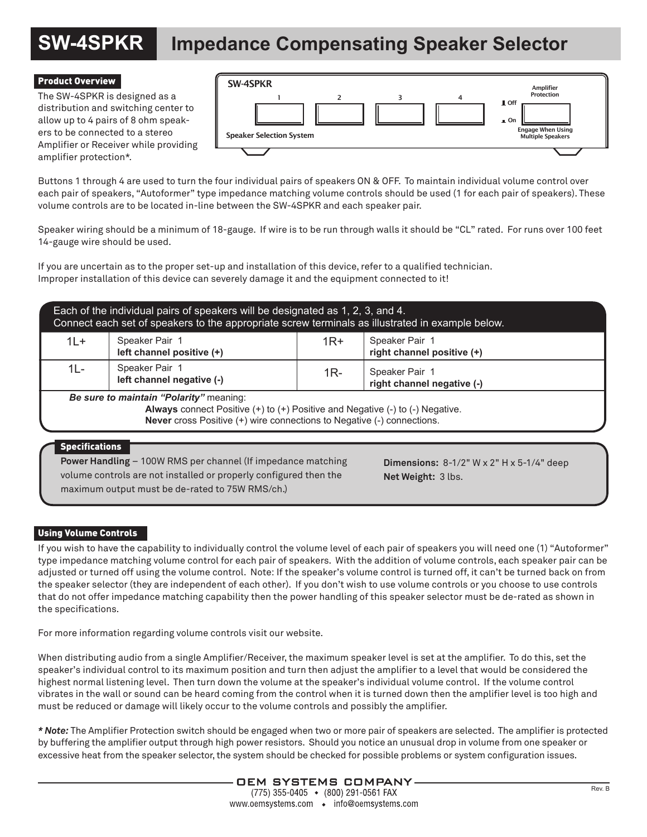# **SW-4SPKR Impedance Compensating Speaker Selector**

### Product Overview

The SW-4SPKR is designed as a distribution and switching center to allow up to 4 pairs of 8 ohm speakers to be connected to a stereo Amplifier or Receiver while providing amplifier protection\*.



Buttons 1 through 4 are used to turn the four individual pairs of speakers ON & OFF. To maintain individual volume control over each pair of speakers, "Autoformer" type impedance matching volume controls should be used (1 for each pair of speakers). These volume controls are to be located in-line between the SW-4SPKR and each speaker pair.

Speaker wiring should be a minimum of 18-gauge. If wire is to be run through walls it should be "CL" rated. For runs over 100 feet 14-gauge wire should be used.

If you are uncertain as to the proper set-up and installation of this device, refer to a qualified technician. Improper installation of this device can severely damage it and the equipment connected to it!

| Each of the individual pairs of speakers will be designated as 1, 2, 3, and 4.<br>Connect each set of speakers to the appropriate screw terminals as illustrated in example below.                                          |                                             |       |                                              |
|-----------------------------------------------------------------------------------------------------------------------------------------------------------------------------------------------------------------------------|---------------------------------------------|-------|----------------------------------------------|
| $1L +$                                                                                                                                                                                                                      | Speaker Pair 1<br>left channel positive (+) | $1R+$ | Speaker Pair 1<br>right channel positive (+) |
| $1L -$                                                                                                                                                                                                                      | Speaker Pair 1<br>left channel negative (-) | $1R-$ | Speaker Pair 1<br>right channel negative (-) |
| Be sure to maintain "Polarity" meaning:<br>Always connect Positive (+) to (+) Positive and Negative (-) to (-) Negative.<br><b>Never</b> cross Positive (+) wire connections to Negative (-) connections.<br>Snacifications |                                             |       |                                              |

#### Specifications

**Power Handling** – 100W RMS per channel (If impedance matching volume controls are not installed or properly configured then the maximum output must be de-rated to 75W RMS/ch.)

**Dimensions:** 8-1/2" W x 2" H x 5-1/4" deep **Net Weight:** 3 lbs.

### Using Volume Controls

If you wish to have the capability to individually control the volume level of each pair of speakers you will need one (1) "Autoformer" type impedance matching volume control for each pair of speakers. With the addition of volume controls, each speaker pair can be adjusted or turned off using the volume control. Note: If the speaker's volume control is turned off, it can't be turned back on from the speaker selector (they are independent of each other). If you don't wish to use volume controls or you choose to use controls that do not offer impedance matching capability then the power handling of this speaker selector must be de-rated as shown in the specifications.

For more information regarding volume controls visit our website.

When distributing audio from a single Amplifier/Receiver, the maximum speaker level is set at the amplifier. To do this, set the speaker's individual control to its maximum position and turn then adjust the amplifier to a level that would be considered the highest normal listening level. Then turn down the volume at the speaker's individual volume control. If the volume control vibrates in the wall or sound can be heard coming from the control when it is turned down then the amplifier level is too high and must be reduced or damage will likely occur to the volume controls and possibly the amplifier.

*\* Note:* The Amplifier Protection switch should be engaged when two or more pair of speakers are selected. The amplifier is protected by buffering the amplifier output through high power resistors. Should you notice an unusual drop in volume from one speaker or excessive heat from the speaker selector, the system should be checked for possible problems or system configuration issues.